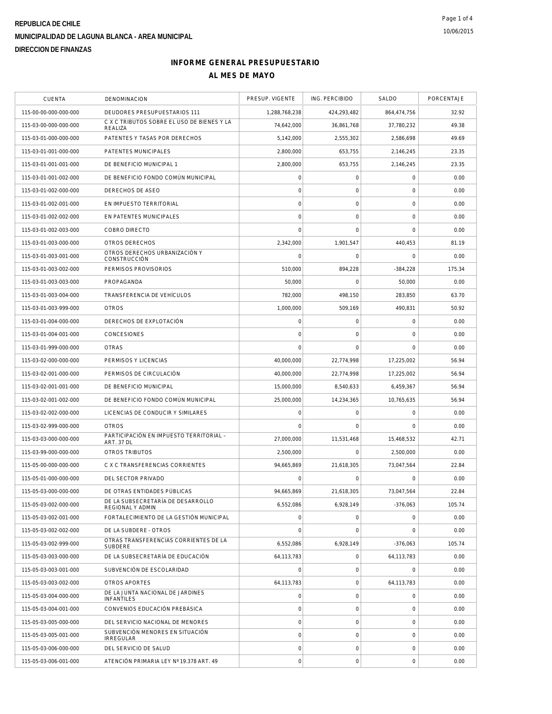| <b>CUENTA</b>         | DENOMINACION                                            | PRESUP. VIGENTE | ING. PERCIBIDO      | SALDO        | PORCENTAJE |
|-----------------------|---------------------------------------------------------|-----------------|---------------------|--------------|------------|
| 115-00-00-000-000-000 | DEUDORES PRESUPUESTARIOS 111                            | 1,288,768,238   | 424,293,482         | 864,474,756  | 32.92      |
| 115-03-00-000-000-000 | C X C TRIBUTOS SOBRE EL USO DE BIENES Y LA<br>REALIZA   | 74,642,000      | 36,861,768          | 37,780,232   | 49.38      |
| 115-03-01-000-000-000 | PATENTES Y TASAS POR DERECHOS                           | 5,142,000       | 2,555,302           | 2,586,698    | 49.69      |
| 115-03-01-001-000-000 | PATENTES MUNICIPALES                                    | 2,800,000       | 653,755             | 2,146,245    | 23.35      |
| 115-03-01-001-001-000 | DE BENEFICIO MUNICIPAL 1                                | 2,800,000       | 653,755             | 2,146,245    | 23.35      |
| 115-03-01-001-002-000 | DE BENEFICIO FONDO COMÚN MUNICIPAL                      | 0               | $\mathsf O$         | $\mathbf 0$  | 0.00       |
| 115-03-01-002-000-000 | DERECHOS DE ASEO                                        | 0               | $\mathsf{O}\xspace$ | $\mathbf 0$  | 0.00       |
| 115-03-01-002-001-000 | EN IMPUESTO TERRITORIAL                                 | $\overline{0}$  | 0                   | $\mathbf 0$  | 0.00       |
| 115-03-01-002-002-000 | EN PATENTES MUNICIPALES                                 | 0               | $\mathbf 0$         | $\mathbf 0$  | 0.00       |
| 115-03-01-002-003-000 | COBRO DIRECTO                                           | $\overline{0}$  | $\mathbf 0$         | $\mathbf 0$  | 0.00       |
| 115-03-01-003-000-000 | OTROS DERECHOS                                          | 2,342,000       | 1,901,547           | 440,453      | 81.19      |
| 115-03-01-003-001-000 | OTROS DERECHOS URBANIZACIÓN Y<br>CONSTRUCCIÓN           | $\mathbf 0$     | $\mathsf{O}\xspace$ | $\mathbf 0$  | 0.00       |
| 115-03-01-003-002-000 | PERMISOS PROVISORIOS                                    | 510.000         | 894.228             | $-384,228$   | 175.34     |
| 115-03-01-003-003-000 | PROPAGANDA                                              | 50,000          | 0                   | 50,000       | 0.00       |
| 115-03-01-003-004-000 | TRANSEERENCIA DE VEHÍCULOS                              | 782,000         | 498,150             | 283.850      | 63.70      |
| 115-03-01-003-999-000 | <b>OTROS</b>                                            | 1,000,000       | 509,169             | 490,831      | 50.92      |
| 115-03-01-004-000-000 | DERECHOS DE EXPLOTACIÓN                                 | 0               | 0                   | $\mathbf 0$  | 0.00       |
| 115-03-01-004-001-000 | CONCESIONES                                             | 0               | $\mathbf 0$         | $\mathbf 0$  | 0.00       |
| 115-03-01-999-000-000 | <b>OTRAS</b>                                            | $\Omega$        | $\mathbf 0$         | $\mathbf 0$  | 0.00       |
| 115-03-02-000-000-000 | PERMISOS Y LICENCIAS                                    | 40,000,000      | 22,774,998          | 17,225,002   | 56.94      |
| 115-03-02-001-000-000 | PERMISOS DE CIRCULACIÓN                                 | 40,000,000      | 22,774,998          | 17,225,002   | 56.94      |
| 115-03-02-001-001-000 | DE BENEFICIO MUNICIPAL                                  | 15,000,000      | 8,540,633           | 6,459,367    | 56.94      |
| 115-03-02-001-002-000 | DE BENEFICIO FONDO COMÚN MUNICIPAL                      | 25,000,000      | 14,234,365          | 10,765,635   | 56.94      |
| 115-03-02-002-000-000 | LICENCIAS DE CONDUCIR Y SIMILARES                       | 0               | 0                   | $\mathbf 0$  | 0.00       |
| 115-03-02-999-000-000 | <b>OTROS</b>                                            | $\overline{0}$  | 0                   | $\mathbf 0$  | 0.00       |
| 115-03-03-000-000-000 | PARTICIPACIÓN EN IMPUESTO TERRITORIAL -<br>ART. 37 DL   | 27,000,000      | 11,531,468          | 15,468,532   | 42.71      |
| 115-03-99-000-000-000 | OTROS TRIBUTOS                                          | 2,500,000       | 0                   | 2,500,000    | 0.00       |
| 115-05-00-000-000-000 | C X C TRANSFERENCIAS CORRIENTES                         | 94,665,869      | 21,618,305          | 73,047,564   | 22.84      |
| 115-05-01-000-000-000 | DEL SECTOR PRIVADO                                      | $\Omega$        | 0                   | $\mathbf 0$  | 0.00       |
| 115-05-03-000-000-000 | DE OTRAS ENTIDADES PÚBLICAS                             | 94,665,869      | 21,618,305          | 73,047,564   | 22.84      |
| 115-05-03-002-000-000 | DE LA SUBSECRETARÍA DE DESARROLLO<br>REGIONAL Y ADMIN   | 6,552,086       | 6,928,149           | $-376,063$   | 105.74     |
| 115-05-03-002-001-000 | FORTALECIMIENTO DE LA GESTIÓN MUNICIPAL                 | $\overline{0}$  | 0                   | $\mathbf 0$  | 0.00       |
| 115-05-03-002-002-000 | DE LA SUBDERE - OTROS                                   | 0               | $\mathbf 0$         | $\mathbf 0$  | 0.00       |
| 115-05-03-002-999-000 | OTRAS TRANSFERENCIAS CORRIENTES DE LA<br><b>SUBDERE</b> | 6,552,086       | 6.928.149           | $-376.063$   | 105.74     |
| 115-05-03-003-000-000 | DE LA SUBSECRETARÍA DE EDUCACIÓN                        | 64,113,783      | 0                   | 64, 113, 783 | 0.00       |
| 115-05-03-003-001-000 | SUBVENCIÓN DE ESCOLARIDAD                               | 0               | 0                   | $\mathbf 0$  | 0.00       |
| 115-05-03-003-002-000 | OTROS APORTES                                           | 64,113,783      | 0                   | 64, 113, 783 | 0.00       |
| 115-05-03-004-000-000 | DE LA JUNTA NACIONAL DE JARDINES<br><b>INFANTILES</b>   | $\overline{0}$  | 0                   | $\mathbf 0$  | 0.00       |
| 115-05-03-004-001-000 | CONVENIOS EDUCACIÓN PREBÁSICA                           | $\mathbf 0$     | 0                   | $\mathbf 0$  | 0.00       |
| 115-05-03-005-000-000 | DEL SERVICIO NACIONAL DE MENORES                        | $\overline{O}$  | $\mathsf{O}\xspace$ | $\mathbf 0$  | 0.00       |
| 115-05-03-005-001-000 | SUBVENCIÓN MENORES EN SITUACIÓN<br><b>IRREGULAR</b>     | $\mathbf 0$     | 0                   | $\mathbf 0$  | 0.00       |
| 115-05-03-006-000-000 | DEL SERVICIO DE SALUD                                   | 0               | 0                   | $\mathbf 0$  | 0.00       |
| 115-05-03-006-001-000 | ATENCIÓN PRIMARIA LEY Nº 19.378 ART. 49                 | 0               | $\mathsf{O}\xspace$ | $\mathbf 0$  | 0.00       |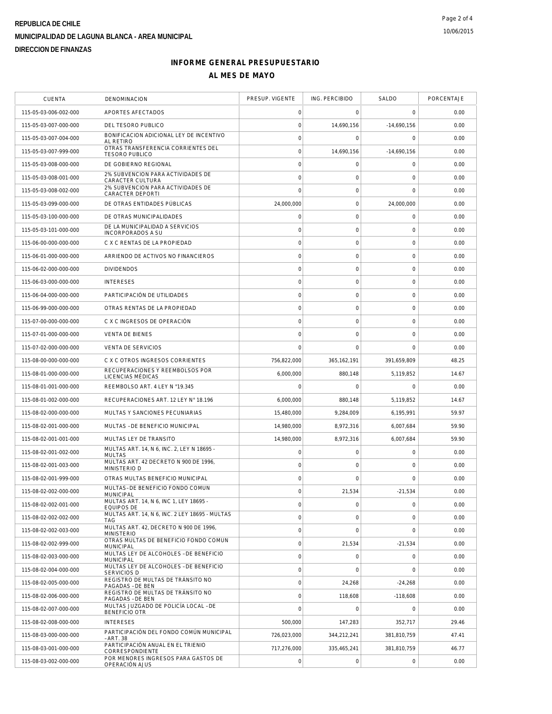| <b>CUENTA</b>         | DENOMINACION                                                 | PRESUP. VIGENTE     | ING. PERCIBIDO      | SALDO               | PORCENTAJE |
|-----------------------|--------------------------------------------------------------|---------------------|---------------------|---------------------|------------|
| 115-05-03-006-002-000 | APORTES AFECTADOS                                            | 0                   | $\mathbf 0$         | $\mathbf 0$         | 0.00       |
| 115-05-03-007-000-000 | DEL TESORO PUBLICO                                           | $\mathsf{O}\xspace$ | 14,690,156          | $-14,690,156$       | 0.00       |
| 115-05-03-007-004-000 | BONIFICACION ADICIONAL LEY DE INCENTIVO<br><b>AL RETIRO</b>  | $\circ$             | 0                   | 0                   | 0.00       |
| 115-05-03-007-999-000 | OTRAS TRANSFERENCIA CORRIENTES DEL<br><b>TESORO PUBLICO</b>  | $\mathsf{O}\xspace$ | 14,690,156          | $-14,690,156$       | 0.00       |
| 115-05-03-008-000-000 | DE GOBIERNO REGIONAL                                         | $\circ$             | $\mathsf{O}\xspace$ | $\mathbf 0$         | 0.00       |
| 115-05-03-008-001-000 | 2% SUBVENCION PARA ACTIVIDADES DE<br>CARACTER CULTURA        | $\mathbf 0$         | 0                   | 0                   | 0.00       |
| 115-05-03-008-002-000 | 2% SUBVENCION PARA ACTIVIDADES DE<br>CARACTER DEPORTI        | $\mathbf 0$         | $\mathsf{O}\xspace$ | $\mathbf 0$         | 0.00       |
| 115-05-03-099-000-000 | DE OTRAS ENTIDADES PÚBLICAS                                  | 24,000,000          | $\mathbf 0$         | 24,000,000          | 0.00       |
| 115-05-03-100-000-000 | DE OTRAS MUNICIPALIDADES                                     | $\mathbf 0$         | $\mathbf 0$         | $\mathbf 0$         | 0.00       |
| 115-05-03-101-000-000 | DE LA MUNICIPALIDAD A SERVICIOS<br>INCORPORADOS A SU         | $\circ$             | $\mathsf{O}\xspace$ | $\mathbf 0$         | 0.00       |
| 115-06-00-000-000-000 | C X C RENTAS DE LA PROPIEDAD                                 | $\mathbf 0$         | $\mathsf{O}\xspace$ | $\mathbf 0$         | 0.00       |
| 115-06-01-000-000-000 | ARRIENDO DE ACTIVOS NO FINANCIEROS                           | $\circ$             | $\mathsf{O}\xspace$ | $\mathsf{O}\xspace$ | 0.00       |
| 115-06-02-000-000-000 | <b>DIVIDENDOS</b>                                            | $\mathbf 0$         | $\mathsf{O}\xspace$ | $\mathbf 0$         | 0.00       |
| 115-06-03-000-000-000 | <b>INTERESES</b>                                             | $\mathbf 0$         | $\mathbf 0$         | $\mathbf 0$         | 0.00       |
| 115-06-04-000-000-000 | PARTICIPACIÓN DE UTILIDADES                                  | $\circ$             | $\mathsf{O}\xspace$ | $\mathbf 0$         | 0.00       |
| 115-06-99-000-000-000 | OTRAS RENTAS DE LA PROPIEDAD                                 | $\mathsf{O}\xspace$ | $\mathsf{O}\xspace$ | $\mathbf 0$         | 0.00       |
| 115-07-00-000-000-000 | C X C INGRESOS DE OPERACIÓN                                  | $\mathbf 0$         | $\mathsf{O}\xspace$ | $\mathbf 0$         | 0.00       |
| 115-07-01-000-000-000 | <b>VENTA DE BIENES</b>                                       | $\mathbf 0$         | 0                   | 0                   | 0.00       |
| 115-07-02-000-000-000 | <b>VENTA DE SERVICIOS</b>                                    | $\mathbf 0$         | $\mathbf 0$         | $\mathbf 0$         | 0.00       |
| 115-08-00-000-000-000 | C X C OTROS INGRESOS CORRIENTES                              | 756,822,000         | 365, 162, 191       | 391,659,809         | 48.25      |
| 115-08-01-000-000-000 | RECUPERACIONES Y REEMBOLSOS POR<br>LICENCIAS MÉDICAS         | 6,000,000           | 880,148             | 5,119,852           | 14.67      |
| 115-08-01-001-000-000 | REEMBOLSO ART. 4 LEY N °19.345                               | $\mathbf 0$         | $\mathbf 0$         | $\Omega$            | 0.00       |
| 115-08-01-002-000-000 | RECUPERACIONES ART. 12 LEY N° 18.196                         | 6,000,000           | 880,148             | 5,119,852           | 14.67      |
| 115-08-02-000-000-000 | MULTAS Y SANCIONES PECUNIARIAS                               | 15,480,000          | 9,284,009           | 6,195,991           | 59.97      |
| 115-08-02-001-000-000 | MULTAS - DE BENEFICIO MUNICIPAL                              | 14,980,000          | 8,972,316           | 6,007,684           | 59.90      |
| 115-08-02-001-001-000 | MULTAS LEY DE TRANSITO                                       | 14,980,000          | 8,972,316           | 6,007,684           | 59.90      |
| 115-08-02-001-002-000 | MULTAS ART. 14. N 6. INC. 2. LEY N 18695 -<br><b>MULTAS</b>  | $\circ$             | $\mathsf{O}\xspace$ | 0                   | 0.00       |
| 115-08-02-001-003-000 | MULTAS ART. 42 DECRETO N 900 DE 1996,<br>MINISTERIO D        | $\mathsf{O}\xspace$ | $\mathsf{O}\xspace$ | $\mathbf 0$         | 0.00       |
| 115-08-02-001-999-000 | OTRAS MULTAS BENEFICIO MUNICIPAL                             | $\mathbf 0$         | $\Omega$            | $\Omega$            | 0.00       |
| 115-08-02-002-000-000 | MULTAS- DE BENEFICIO FONDO COMUN<br>MUNICIPAL                | $\mathbf 0$         | 21,534              | $-21,534$           | 0.00       |
| 115-08-02-002-001-000 | MULTAS ART. 14, N 6, INC 1, LEY 18695 -<br><b>EQUIPOS DE</b> | $\mathbf 0$         | $\mathsf{O}\xspace$ | $\mathbf 0$         | 0.00       |
| 115-08-02-002-002-000 | MULTAS ART. 14, N 6, INC. 2 LEY 18695 - MULTAS<br>TAG        | $\mathbf 0$         | $\mathbf 0$         | $\mathbf 0$         | 0.00       |
| 115-08-02-002-003-000 | MULTAS ART. 42, DECRETO N 900 DE 1996,<br><b>MINISTERIO</b>  | $\mathsf{O}\xspace$ | $\mathbf 0$         | $\overline{0}$      | 0.00       |
| 115-08-02-002-999-000 | OTRAS MULTAS DE BENEFICIO FONDO COMUN<br><b>MUNICIPAL</b>    | $\circ$             | 21,534              | $-21.534$           | 0.00       |
| 115-08-02-003-000-000 | MULTAS LEY DE ALCOHOLES - DE BENEFICIO<br><b>MUNICIPAL</b>   | $\mathsf{O}\xspace$ | $\mathsf{O}\xspace$ | $\mathbf 0$         | 0.00       |
| 115-08-02-004-000-000 | MULTAS LEY DE ALCOHOLES - DE BENEFICIO<br>SERVICIOS D        | $\mathsf{O}\xspace$ | $\Omega$            | $\mathbf 0$         | 0.00       |
| 115-08-02-005-000-000 | REGISTRO DE MULTAS DE TRÁNSITO NO<br>PAGADAS - DE BEN        | $\circ$             | 24,268              | $-24,268$           | 0.00       |
| 115-08-02-006-000-000 | REGISTRO DE MULTAS DE TRÁNSITO NO<br>PAGADAS - DE BEN        | $\circ$             | 118,608             | $-118,608$          | 0.00       |
| 115-08-02-007-000-000 | MULTAS JUZGADO DE POLICÍA LOCAL - DE<br><b>BENEFICIO OTR</b> | $\overline{0}$      | $\mathbf 0$         | $\Omega$            | 0.00       |
| 115-08-02-008-000-000 | <b>INTERESES</b>                                             | 500,000             | 147,283             | 352,717             | 29.46      |
| 115-08-03-000-000-000 | PARTICIPACIÓN DEL FONDO COMÚN MUNICIPAL<br>- ART. 38         | 726,023,000         | 344,212,241         | 381,810,759         | 47.41      |
| 115-08-03-001-000-000 | PARTICIPACIÓN ANUAL EN EL TRIENIO<br>CORRESPONDIENTE         | 717,276,000         | 335,465,241         | 381,810,759         | 46.77      |
| 115-08-03-002-000-000 | POR MENORES INGRESOS PARA GASTOS DE<br>OPERACIÓN AJUS        | 0                   | $\mathsf{O}\xspace$ | $\mathbf 0$         | 0.00       |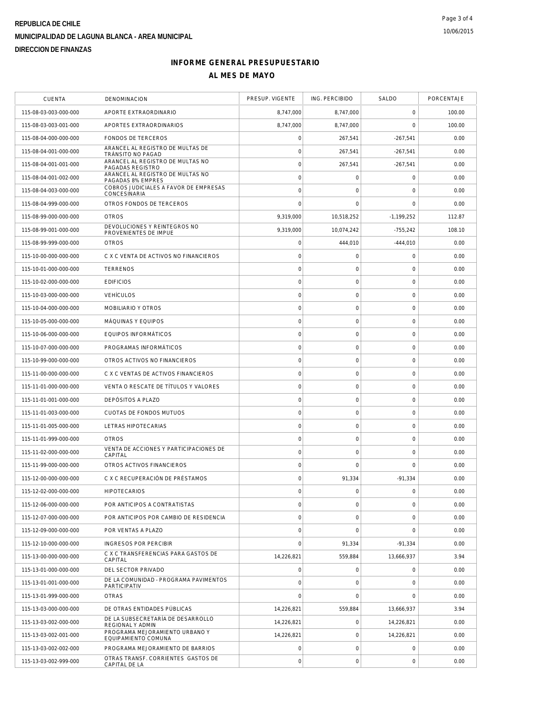| <b>CUENTA</b>         | DENOMINACION                                          | PRESUP. VIGENTE     | ING. PERCIBIDO      | SALDO               | PORCENTAJE |
|-----------------------|-------------------------------------------------------|---------------------|---------------------|---------------------|------------|
| 115-08-03-003-000-000 | APORTE EXTRAORDINARIO                                 | 8,747,000           | 8,747,000           | $\mathbf 0$         | 100.00     |
| 115-08-03-003-001-000 | APORTES EXTRAORDINARIOS                               | 8,747,000           | 8,747,000           | $\mathbf 0$         | 100.00     |
| 115-08-04-000-000-000 | <b>FONDOS DE TERCEROS</b>                             | $\mathsf{O}\xspace$ | 267,541             | $-267,541$          | 0.00       |
| 115-08-04-001-000-000 | ARANCEL AL REGISTRO DE MULTAS DE<br>TRÁNSITO NO PAGAD | $\circ$             | 267,541             | $-267,541$          | 0.00       |
| 115-08-04-001-001-000 | ARANCEL AL REGISTRO DE MULTAS NO<br>PAGADAS REGISTRO  | $\mathbf 0$         | 267,541             | $-267,541$          | 0.00       |
| 115-08-04-001-002-000 | ARANCEL AL REGISTRO DE MULTAS NO<br>PAGADAS 8% EMPRES | $\mathsf{O}\xspace$ | $\mathsf{O}\xspace$ | $\mathbf 0$         | 0.00       |
| 115-08-04-003-000-000 | COBROS JUDICIALES A FAVOR DE EMPRESAS<br>CONCESINARIA | $\circ$             | $\mathbf 0$         | $\mathbf 0$         | 0.00       |
| 115-08-04-999-000-000 | OTROS FONDOS DE TERCEROS                              | $\mathbf 0$         | $\mathbf 0$         | $\mathbf 0$         | 0.00       |
| 115-08-99-000-000-000 | <b>OTROS</b>                                          | 9,319,000           | 10,518,252          | $-1.199.252$        | 112.87     |
| 115-08-99-001-000-000 | DEVOLUCIONES Y REINTEGROS NO<br>PROVENIENTES DE IMPUE | 9,319,000           | 10,074,242          | $-755,242$          | 108.10     |
| 115-08-99-999-000-000 | <b>OTROS</b>                                          | $\mathsf{O}\xspace$ | 444,010             | $-444,010$          | 0.00       |
| 115-10-00-000-000-000 | C X C VENTA DE ACTIVOS NO FINANCIEROS                 | $\mathbf 0$         | $\mathsf{O}\xspace$ | $\mathbf 0$         | 0.00       |
| 115-10-01-000-000-000 | <b>TERRENOS</b>                                       | $\circ$             | $\mathbf 0$         | $\mathbf 0$         | 0.00       |
| 115-10-02-000-000-000 | <b>EDIFICIOS</b>                                      | $\circ$             | $\mathsf{O}\xspace$ | $\mathbf 0$         | 0.00       |
| 115-10-03-000-000-000 | <b>VEHÍCULOS</b>                                      | $\mathsf{O}\xspace$ | $\mathsf{O}\xspace$ | 0                   | 0.00       |
| 115-10-04-000-000-000 | MOBILIARIO Y OTROS                                    | $\mathbf 0$         | $\mathsf{O}\xspace$ | $\mathsf{O}\xspace$ | 0.00       |
| 115-10-05-000-000-000 | MÁQUINAS Y EQUIPOS                                    | $\mathbf 0$         | $\mathsf{O}\xspace$ | $\mathbf 0$         | 0.00       |
| 115-10-06-000-000-000 | EQUIPOS INFORMÁTICOS                                  | $\mathbf 0$         | $\mathbf 0$         | $\mathbf 0$         | 0.00       |
| 115-10-07-000-000-000 | PROGRAMAS INFORMÁTICOS                                | $\circ$             | $\mathbf 0$         | $\mathbf 0$         | 0.00       |
| 115-10-99-000-000-000 | OTROS ACTIVOS NO FINANCIEROS                          | $\mathsf{O}\xspace$ | $\mathsf{O}\xspace$ | $\mathbf 0$         | 0.00       |
| 115-11-00-000-000-000 | C X C VENTAS DE ACTIVOS FINANCIEROS                   | $\mathbf 0$         | $\mathsf{O}\xspace$ | $\mathsf{O}\xspace$ | 0.00       |
| 115-11-01-000-000-000 | VENTA O RESCATE DE TÍTULOS Y VALORES                  | $\mathbf 0$         | 0                   | 0                   | 0.00       |
| 115-11-01-001-000-000 | DEPÓSITOS A PLAZO                                     | $\mathsf{O}\xspace$ | $\mathsf{O}\xspace$ | $\mathbf 0$         | 0.00       |
| 115-11-01-003-000-000 | CUOTAS DE FONDOS MUTUOS                               | $\mathbf 0$         | $\mathsf{O}\xspace$ | $\mathbf 0$         | 0.00       |
| 115-11-01-005-000-000 | LETRAS HIPOTECARIAS                                   | $\circ$             | $\mathbf 0$         | $\mathbf 0$         | 0.00       |
| 115-11-01-999-000-000 | <b>OTROS</b>                                          | $\circ$             | $\mathsf{O}\xspace$ | $\mathbf 0$         | 0.00       |
| 115-11-02-000-000-000 | VENTA DE ACCIONES Y PARTICIPACIONES DE<br>CAPITAL     | $\mathsf{O}\xspace$ | $\mathbf 0$         | $\mathbf 0$         | 0.00       |
| 115-11-99-000-000-000 | OTROS ACTIVOS FINANCIEROS                             | $\circ$             | $\mathbf 0$         | $\mathbf 0$         | 0.00       |
| 115-12-00-000-000-000 | C X C RECUPERACIÓN DE PRÉSTAMOS                       | $\mathbf 0$         | 91,334              | $-91,334$           | 0.00       |
| 115-12-02-000-000-000 | <b>HIPOTECARIOS</b>                                   | $\mathsf{O}\xspace$ | $\mathsf{O}\xspace$ | $\mathbf 0$         | 0.00       |
| 115-12-06-000-000-000 | POR ANTICIPOS A CONTRATISTAS                          | $\mathbf 0$         | $\mathsf{O}\xspace$ | $\mathbf 0$         | 0.00       |
| 115-12-07-000-000-000 | POR ANTICIPOS POR CAMBIO DE RESIDENCIA                | $\mathsf{O}\xspace$ | $\mathsf{O}\xspace$ | $\mathbf 0$         | 0.00       |
| 115-12-09-000-000-000 | POR VENTAS A PLAZO                                    | $\mathbf 0$         | $\mathbf 0$         | $\mathbf 0$         | 0.00       |
| 115-12-10-000-000-000 | <b>INGRESOS POR PERCIBIR</b>                          | $\mathbf 0$         | 91,334              | $-91,334$           | 0.00       |
| 115-13-00-000-000-000 | C X C TRANSFERENCIAS PARA GASTOS DE<br>CAPITAL        | 14,226,821          | 559,884             | 13,666,937          | 3.94       |
| 115-13-01-000-000-000 | DEL SECTOR PRIVADO                                    | $\mathbf 0$         | $\mathbf 0$         | $\mathbf 0$         | 0.00       |
| 115-13-01-001-000-000 | DE LA COMUNIDAD - PROGRAMA PAVIMENTOS<br>PARTICIPATIV | $\circ$             | $\mathbf 0$         | $\mathbf 0$         | 0.00       |
| 115-13-01-999-000-000 | <b>OTRAS</b>                                          | $\circ$             | $\mathbf 0$         | $\overline{0}$      | 0.00       |
| 115-13-03-000-000-000 | DE OTRAS ENTIDADES PÚBLICAS                           | 14,226,821          | 559,884             | 13.666.937          | 3.94       |
| 115-13-03-002-000-000 | DE LA SUBSECRETARÍA DE DESARROLLO<br>REGIONAL Y ADMIN | 14,226,821          | $\mathbf 0$         | 14,226,821          | 0.00       |
| 115-13-03-002-001-000 | PROGRAMA MEJORAMIENTO URBANO Y<br>EQUIPAMIENTO COMUNA | 14,226,821          | $\mathbf 0$         | 14,226,821          | 0.00       |
| 115-13-03-002-002-000 | PROGRAMA MEJORAMIENTO DE BARRIOS                      | $\mathsf{O}\xspace$ | $\mathbf 0$         | $\mathbf 0$         | 0.00       |
| 115-13-03-002-999-000 | OTRAS TRANSF. CORRIENTES GASTOS DE<br>CAPITAL DE LA   | $\mathbf 0$         | $\mathsf{O}\xspace$ | 0                   | 0.00       |